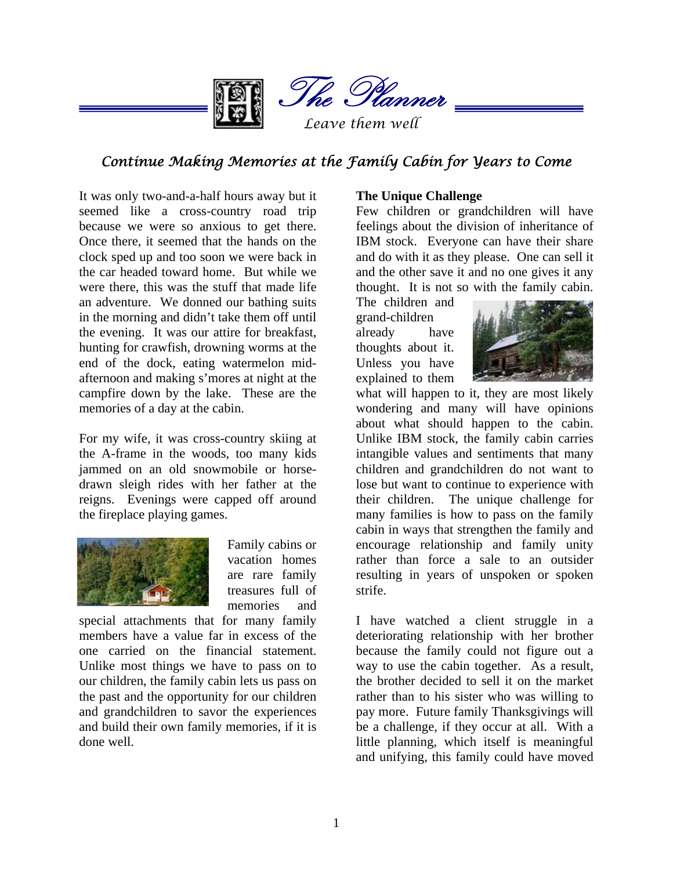

The Planner

*Leave them well* 

# *Continue Making Memories at the Family Cabin for Years to Come*

It was only two-and-a-half hours away but it seemed like a cross-country road trip because we were so anxious to get there. Once there, it seemed that the hands on the clock sped up and too soon we were back in the car headed toward home. But while we were there, this was the stuff that made life an adventure. We donned our bathing suits in the morning and didn't take them off until the evening. It was our attire for breakfast, hunting for crawfish, drowning worms at the end of the dock, eating watermelon midafternoon and making s'mores at night at the campfire down by the lake. These are the memories of a day at the cabin.

For my wife, it was cross-country skiing at the A-frame in the woods, too many kids jammed on an old snowmobile or horsedrawn sleigh rides with her father at the reigns. Evenings were capped off around the fireplace playing games.



Family cabins or vacation homes are rare family treasures full of memories and

special attachments that for many family members have a value far in excess of the one carried on the financial statement. Unlike most things we have to pass on to our children, the family cabin lets us pass on the past and the opportunity for our children and grandchildren to savor the experiences and build their own family memories, if it is done well.

#### **The Unique Challenge**

Few children or grandchildren will have feelings about the division of inheritance of IBM stock. Everyone can have their share and do with it as they please. One can sell it and the other save it and no one gives it any thought. It is not so with the family cabin.

The children and grand-children already have thoughts about it. Unless you have explained to them



what will happen to it, they are most likely wondering and many will have opinions about what should happen to the cabin. Unlike IBM stock, the family cabin carries intangible values and sentiments that many children and grandchildren do not want to lose but want to continue to experience with their children. The unique challenge for many families is how to pass on the family cabin in ways that strengthen the family and encourage relationship and family unity rather than force a sale to an outsider resulting in years of unspoken or spoken strife.

I have watched a client struggle in a deteriorating relationship with her brother because the family could not figure out a way to use the cabin together. As a result, the brother decided to sell it on the market rather than to his sister who was willing to pay more. Future family Thanksgivings will be a challenge, if they occur at all. With a little planning, which itself is meaningful and unifying, this family could have moved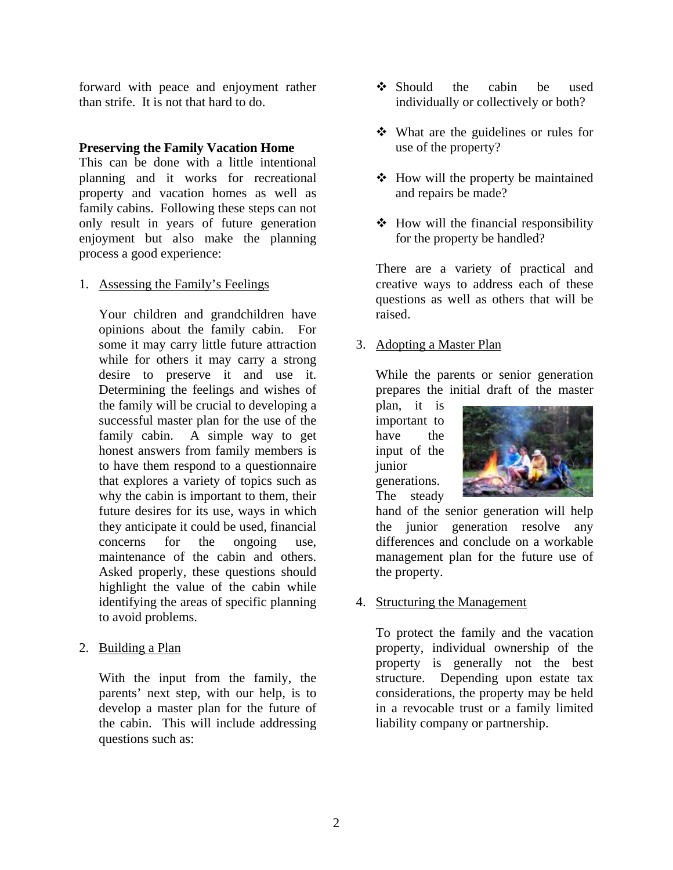forward with peace and enjoyment rather than strife. It is not that hard to do.

#### **Preserving the Family Vacation Home**

This can be done with a little intentional planning and it works for recreational property and vacation homes as well as family cabins. Following these steps can not only result in years of future generation enjoyment but also make the planning process a good experience:

1. Assessing the Family's Feelings

 Your children and grandchildren have opinions about the family cabin. For some it may carry little future attraction while for others it may carry a strong desire to preserve it and use it. Determining the feelings and wishes of the family will be crucial to developing a successful master plan for the use of the family cabin. A simple way to get honest answers from family members is to have them respond to a questionnaire that explores a variety of topics such as why the cabin is important to them, their future desires for its use, ways in which they anticipate it could be used, financial concerns for the ongoing use, maintenance of the cabin and others. Asked properly, these questions should highlight the value of the cabin while identifying the areas of specific planning to avoid problems.

2. Building a Plan

 With the input from the family, the parents' next step, with our help, is to develop a master plan for the future of the cabin. This will include addressing questions such as:

- Should the cabin be used individually or collectively or both?
- What are the guidelines or rules for use of the property?
- $\triangleleft$  How will the property be maintained and repairs be made?
- $\triangleleft$  How will the financial responsibility for the property be handled?

 There are a variety of practical and creative ways to address each of these questions as well as others that will be raised.

# 3. Adopting a Master Plan

 While the parents or senior generation prepares the initial draft of the master

plan, it is important to have the input of the junior generations. The steady



hand of the senior generation will help the junior generation resolve any differences and conclude on a workable management plan for the future use of the property.

4. Structuring the Management

 To protect the family and the vacation property, individual ownership of the property is generally not the best structure. Depending upon estate tax considerations, the property may be held in a revocable trust or a family limited liability company or partnership.